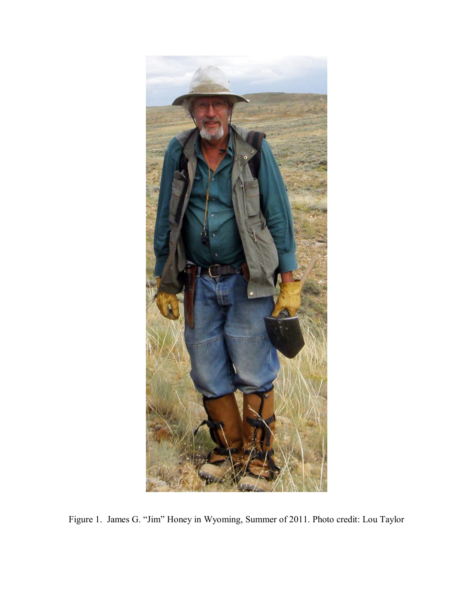

Figure 1. James G. "Jim" Honey in Wyoming, Summer of 2011. Photo credit: Lou Taylor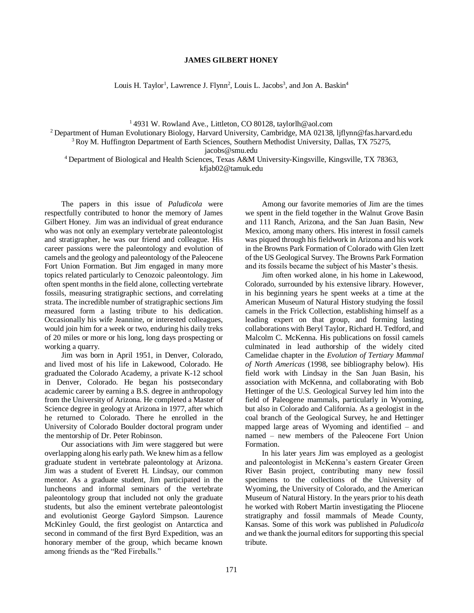## **JAMES GILBERT HONEY**

Louis H. Taylor<sup>1</sup>, Lawrence J. Flynn<sup>2</sup>, Louis L. Jacobs<sup>3</sup>, and Jon A. Baskin<sup>4</sup>

<sup>1</sup> 4931 W. Rowland Ave., Littleton, CO 80128, [taylorlh@aol.com](mailto:taylorlh@aol.com)

<sup>2</sup> Department of Human Evolutionary Biology, Harvard University, Cambridge, MA 02138, [ljflynn@fas.harvard.edu](mailto:ljflynn@fas.harvard.edu)

<sup>3</sup> Roy M. Huffington Department of Earth Sciences, Southern Methodist University, Dallas, TX 75275,

[jacobs@smu.edu](mailto:jacobs@smu.edu)

<sup>4</sup>Department of Biological and Health Sciences, Texas A&M University-Kingsville, Kingsville, TX 78363, kfjab02@tamuk.edu

The papers in this issue of *Paludicola* were respectfully contributed to honor the memory of James Gilbert Honey. Jim was an individual of great endurance who was not only an exemplary vertebrate paleontologist and stratigrapher, he was our friend and colleague. His career passions were the paleontology and evolution of camels and the geology and paleontology of the Paleocene Fort Union Formation. But Jim engaged in many more topics related particularly to Cenozoic paleontology. Jim often spent months in the field alone, collecting vertebrate fossils, measuring stratigraphic sections, and correlating strata. The incredible number of stratigraphic sections Jim measured form a lasting tribute to his dedication. Occasionally his wife Jeannine, or interested colleagues, would join him for a week or two, enduring his daily treks of 20 miles or more or his long, long days prospecting or working a quarry.

Jim was born in April 1951, in Denver, Colorado, and lived most of his life in Lakewood, Colorado. He graduated the Colorado Academy, a private K-12 school in Denver, Colorado. He began his postsecondary academic career by earning a B.S. degree in anthropology from the University of Arizona. He completed a Master of Science degree in geology at Arizona in 1977, after which he returned to Colorado. There he enrolled in the University of Colorado Boulder doctoral program under the mentorship of Dr. Peter Robinson.

Our associations with Jim were staggered but were overlapping along his early path. We knew him as a fellow graduate student in vertebrate paleontology at Arizona. Jim was a student of Everett H. Lindsay, our common mentor. As a graduate student, Jim participated in the luncheons and informal seminars of the vertebrate paleontology group that included not only the graduate students, but also the eminent vertebrate paleontologist and evolutionist George Gaylord Simpson. Laurence McKinley Gould, the first geologist on Antarctica and second in command of the first Byrd Expedition, was an honorary member of the group, which became known among friends as the "Red Fireballs."

Among our favorite memories of Jim are the times we spent in the field together in the Walnut Grove Basin and 111 Ranch, Arizona, and the San Juan Basin, New Mexico, among many others. His interest in fossil camels was piqued through his fieldwork in Arizona and his work in the Browns Park Formation of Colorado with Glen Izett of the US Geological Survey. The Browns Park Formation and its fossils became the subject of his Master's thesis.

Jim often worked alone, in his home in Lakewood, Colorado, surrounded by his extensive library. However, in his beginning years he spent weeks at a time at the American Museum of Natural History studying the fossil camels in the Frick Collection, establishing himself as a leading expert on that group, and forming lasting collaborations with Beryl Taylor, Richard H. Tedford, and Malcolm C. McKenna. His publications on fossil camels culminated in lead authorship of the widely cited Camelidae chapter in the *Evolution of Tertiary Mammal of North Americas* (1998, see bibliography below). His field work with Lindsay in the San Juan Basin, his association with McKenna, and collaborating with Bob Hettinger of the U.S. Geological Survey led him into the field of Paleogene mammals, particularly in Wyoming, but also in Colorado and California. As a geologist in the coal branch of the Geological Survey, he and Hettinger mapped large areas of Wyoming and identified – and named – new members of the Paleocene Fort Union Formation.

In his later years Jim was employed as a geologist and paleontologist in McKenna's eastern Greater Green River Basin project, contributing many new fossil specimens to the collections of the University of Wyoming, the University of Colorado, and the American Museum of Natural History. In the years prior to his death he worked with Robert Martin investigating the Pliocene stratigraphy and fossil mammals of Meade County, Kansas. Some of this work was published in *Paludicola* and we thank the journal editors for supporting this special tribute.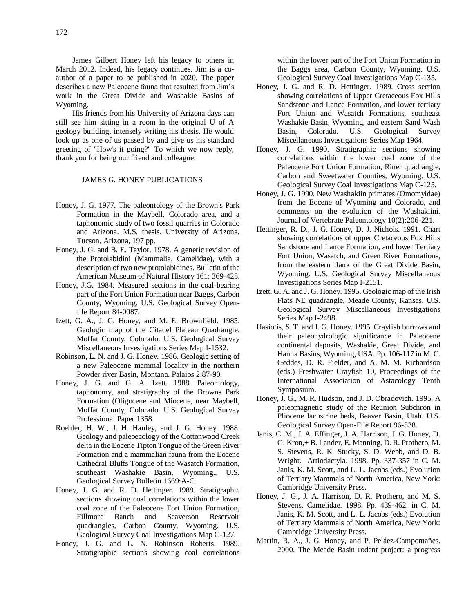James Gilbert Honey left his legacy to others in March 2012. Indeed, his legacy continues. Jim is a coauthor of a paper to be published in 2020. The paper describes a new Paleocene fauna that resulted from Jim's work in the Great Divide and Washakie Basins of Wyoming.

His friends from his University of Arizona days can still see him sitting in a room in the original U of A geology building, intensely writing his thesis. He would look up as one of us passed by and give us his standard greeting of "How's it going?" To which we now reply, thank you for being our friend and colleague.

## JAMES G. HONEY PUBLICATIONS

- Honey, J. G. 1977. The paleontology of the Brown's Park Formation in the Maybell, Colorado area, and a taphonomic study of two fossil quarries in Colorado and Arizona. M.S. thesis, University of Arizona, Tucson, Arizona, 197 pp.
- Honey, J. G. and B. E. Taylor. 1978. A generic revision of the Protolabidini (Mammalia, Camelidae), with a description of two new protolabidines. Bulletin of the American Museum of Natural History 161: 369-425.
- Honey, J.G. 1984. Measured sections in the coal-bearing part of the Fort Union Formation near Baggs, Carbon County, Wyoming. U.S. Geological Survey Openfile Report 84-0087.
- Izett, G. A., J. G. Honey, and M. E. Brownfield. 1985. Geologic map of the Citadel Plateau Quadrangle, Moffat County, Colorado. U.S. Geological Survey Miscellaneous Investigations Series Map I-1532.
- Robinson, L. N. and J. G. Honey. 1986. Geologic setting of a new Paleocene mammal locality in the northern Powder river Basin, Montana. Palaios 2:87-90.
- Honey, J. G. and G. A. Izett. 1988. Paleontology, taphonomy, and stratigraphy of the Browns Park Formation (Oligocene and Miocene, near Maybell, Moffat County, Colorado. U.S. Geological Survey Professional Paper 1358.
- Roehler, H. W., J. H. Hanley, and J. G. Honey. 1988. Geology and paleoecology of the Cottonwood Creek delta in the Eocene Tipton Tongue of the Green River Formation and a mammalian fauna from the Eocene Cathedral Bluffs Tongue of the Wasatch Formation, southeast Washakie Basin, Wyoming., U.S. Geological Survey Bulletin 1669:A-C.
- Honey, J. G. and R. D. Hettinger. 1989. Stratigraphic sections showing coal correlations within the lower coal zone of the Paleocene Fort Union Formation, Fillmore Ranch and Seaverson Reservoir quadrangles, Carbon County, Wyoming. U.S. Geological Survey Coal Investigations Map C-127.
- Honey, J. G. and L. N. Robinson Roberts. 1989. Stratigraphic sections showing coal correlations

within the lower part of the Fort Union Formation in the Baggs area, Carbon County, Wyoming. U.S. Geological Survey Coal Investigations Map C-135.

- Honey, J. G. and R. D. Hettinger. 1989. Cross section showing correlations of Upper Cretaceous Fox Hills Sandstone and Lance Formation, and lower tertiary Fort Union and Wasatch Formations, southeast Washakie Basin, Wyoming, and eastern Sand Wash Basin, Colorado. U.S. Geological Survey Miscellaneous Investigations Series Map 1964.
- Honey, J. G. 1990. Stratigraphic sections showing correlations within the lower coal zone of the Paleocene Fort Union Formation, Riner quadrangle, Carbon and Sweetwater Counties, Wyoming. U.S. Geological Survey Coal Investigations Map C-125.
- Honey, J. G. 1990. New Washakiin primates (Omomyidae) from the Eocene of Wyoming and Colorado, and comments on the evolution of the Washakiini. Journal of Vertebrate Paleontology 10(2):206-221.
- Hettinger, R. D., J. G. Honey, D. J. Nichols. 1991. Chart showing correlations of upper Cretaceous Fox Hills Sandstone and Lance Formation, and lower Tertiary Fort Union, Wasatch, and Green River Formations, from the eastern flank of the Great Divide Basin, Wyoming. U.S. Geological Survey Miscellaneous Investigations Series Map I-2151.
- Izett, G. A. and J. G. Honey. 1995. Geologic map of the Irish Flats NE quadrangle, Meade County, Kansas. U.S. Geological Survey Miscellaneous Investigations Series Map I-2498.
- Hasiotis, S. T. and J. G. Honey. 1995. Crayfish burrows and their paleohydrologic significance in Paleocene continental deposits, Washakie, Great Divide, and Hanna Basins, Wyoming, USA. Pp. 106-117 in M. C. Geddes, D. R. Fielder, and A. M. M. Richardson (eds.) Freshwater Crayfish 10, Proceedings of the International Association of Astacology Tenth Symposium.
- Honey, J. G., M. R. Hudson, and J. D. Obradovich. 1995. A paleomagnetic study of the Reunion Subchron in Pliocene lacustrine beds, Beaver Basin, Utah. U.S. Geological Survey Open-File Report 96-538.
- Janis, C. M., J. A. Effinger, J. A. Harrison, J. G. Honey, D. G. Kron,+ B. Lander, E. Manning, D. R. Prothero, M. S. Stevens, R. K. Stucky, S. D. Webb, and D. B. Wright. Artiodactyla. 1998. Pp. 337-357 in C. M. Janis, K. M. Scott, and L. L. Jacobs (eds.) Evolution of Tertiary Mammals of North America, New York: Cambridge University Press.
- Honey, J. G., J. A. Harrison, D. R. Prothero, and M. S. Stevens. Camelidae. 1998. Pp. 439-462. in C. M. Janis, K. M. Scott, and L. L. Jacobs (eds.) Evolution of Tertiary Mammals of North America, New York: Cambridge University Press.
- Martin, R. A., J. G. Honey, and P. Peláez-Campomañes. 2000. The Meade Basin rodent project: a progress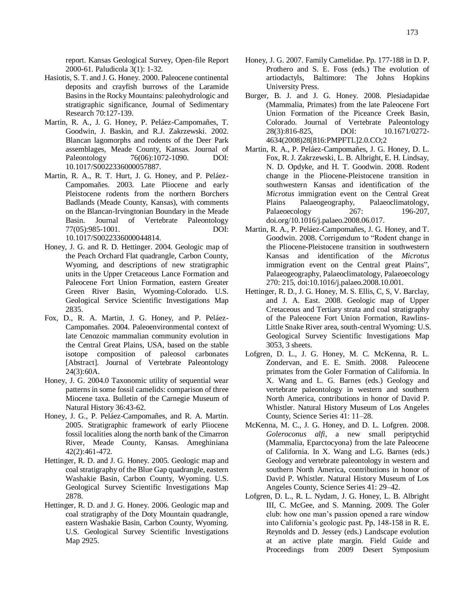report. Kansas Geological Survey, Open-file Report 2000-61. Paludicola 3(1): 1-32.

- Hasiotis, S. T. and J. G. Honey. 2000. Paleocene continental deposits and crayfish burrows of the Laramide Basins in the Rocky Mountains: paleohydrologic and stratigraphic significance, Journal of Sedimentary Research 70:127-139.
- Martin, R. A., J. G. Honey, P. Peláez-Campomañes, T. Goodwin, J. Baskin, and R.J. Zakrzewski. 2002. Blancan lagomorphs and rodents of the Deer Park assemblages, Meade County, Kansas. Journal of Paleontology  $76(06):1072-1090$ . DOI: 10.1017/S0022336000057887.
- Martin, R. A., R. T. Hurt, J. G. Honey, and P. Peláez-Campomañes. 2003. Late Pliocene and early Pleistocene rodents from the northern Borchers Badlands (Meade County, Kansas), with comments on the Blancan-Irvingtonian Boundary in the Meade Basin. Journal of Vertebrate Paleontology 77(05):985-1001. DOI:

10.1017/S0022336000044814.

- Honey, J. G. and R. D. Hettinger. 2004. Geologic map of the Peach Orchard Flat quadrangle, Carbon County, Wyoming, and descriptions of new stratigraphic units in the Upper Cretaceous Lance Formation and Paleocene Fort Union Formation, eastern Greater Green River Basin, Wyoming-Colorado. U.S. Geological Service Scientific Investigations Map 2835.
- Fox, D., R. A. Martin, J. G. Honey, and P. Peláez-Campomañes. 2004. Paleoenvironmental context of late Cenozoic mammalian community evolution in the Central Great Plains, USA, based on the stable isotope composition of paleosol carbonates [Abstract]. Journal of Vertebrate Paleontology 24(3):60A.
- Honey, J. G. 2004.0 Taxonomic utility of sequential wear patterns in some fossil camelids: comparison of three Miocene taxa. Bulletin of the Carnegie Museum of Natural History 36:43-62.
- Honey, J. G., P. Peláez-Campomañes, and R. A. Martin. 2005. Stratigraphic framework of early Pliocene fossil localities along the north bank of the Cimarron River, Meade County, Kansas. Ameghiniana 42(2):461-472.
- Hettinger, R. D. and J. G. Honey. 2005. Geologic map and coal stratigraphy of the Blue Gap quadrangle, eastern Washakie Basin, Carbon County, Wyoming. U.S. Geological Survey Scientific Investigations Map 2878.
- Hettinger, R. D. and J. G. Honey. 2006. Geologic map and coal stratigraphy of the Doty Mountain quadrangle, eastern Washakie Basin, Carbon County, Wyoming. U.S. Geological Survey Scientific Investigations Map 2925.
- Honey, J. G. 2007. Family Camelidae. Pp. 177-188 in D. P. Prothero and S. E. Foss (eds.) The evolution of artiodactyls, Baltimore: The Johns Hopkins University Press.
- Burger, B. J. and J. G. Honey. 2008. Plesiadapidae (Mammalia, Primates) from the late Paleocene Fort Union Formation of the Piceance Creek Basin, Colorado. Journal of Vertebrate Paleontology 28(3):816-825, DOI: 10.1671/0272- 4634(2008)28[816:PMPFTL]2.0.CO;2
- Martin, R. A., P. Peláez-Campomañes, J. G. Honey, D. L. Fox, R. J. Zakrzewski, L. B. Albright, E. H. Lindsay, N. D. Opdyke, and H. T. Goodwin. 2008. Rodent change in the Pliocene-Pleistocene transition in southwestern Kansas and identification of the *Microtus* immigration event on the Central Great Plains Palaeogeography, Palaeoclimatology, Palaeoecology 267: 196-207, doi.org/10.1016/j.palaeo.2008.06.017.
- Martin, R. A., P. Peláez-Campomañes, J. G. Honey, and T. Goodwin. 2008. Corrigendum to "Rodent change in the Pliocene-Pleistocene transition in southwestern Kansas and identification of the *Microtus* immigration event on the Central great Plains", Palaeogeography, Palaeoclimatology, Palaeoecology 270: 215, doi:10.1016/j.palaeo.2008.10.001.
- Hettinger, R. D., J. G. Honey, M. S. Ellis, C, S, V. Barclay, and J. A. East. 2008. Geologic map of Upper Cretaceous and Tertiary strata and coal stratigraphy of the Paleocene Fort Union Formation, Rawlins-Little Snake River area, south-central Wyoming: U.S. Geological Survey Scientific Investigations Map 3053, 3 sheets.
- Lofgren, D. L., J. G. Honey, M. C. McKenna, R. L. Zondervan, and E. E. Smith. 2008. Paleocene primates from the Goler Formation of California. In X. Wang and L. G. Barnes (eds.) Geology and vertebrate paleontology in western and southern North America, contributions in honor of David P. Whistler. Natural History Museum of Los Angeles County, Science Series 41: 11–28.
- McKenna, M. C., J. G. Honey, and D. L. Lofgren. 2008. *Goleroconus alfi*, a new small periptychid (Mammalia, Eparctocyona) from the late Paleocene of California. In X. Wang and L.G. Barnes (eds.) Geology and vertebrate paleontology in western and southern North America, contributions in honor of David P. Whistler. Natural History Museum of Los Angeles County, Science Series 41: 29–42.
- Lofgren, D. L., R. L. Nydam, J. G. Honey, L. B. Albright III, C. McGee, and S. Manning. 2009. The Goler club: how one man's passion opened a rare window into California's geologic past. Pp, 148-158 in R. E. Reynolds and D. Jessey (eds.) Landscape evolution at an active plate margin. Field Guide and Proceedings from 2009 Desert Symposium